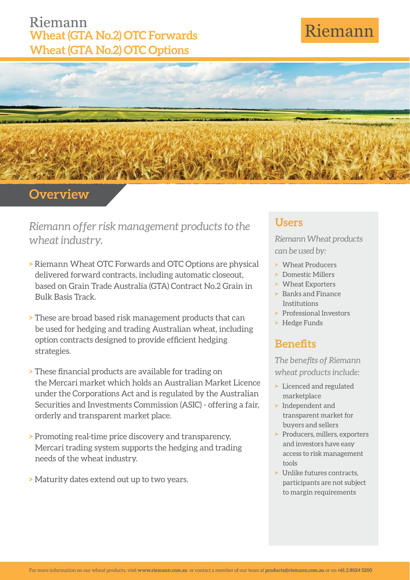### Riemann **Wheat (GTA No.2) OTC Forwards Wheat (GTA No.2) OTC Options**

# Riemann



### **Overview**

*Riemann offer risk management products to the wheat industry.*

- **>** Riemann Wheat OTC Forwards and OTC Options are physical delivered forward contracts, including automatic closeout, based on Grain Trade Australia (GTA) Contract No.2 Grain in Bulk Basis Track.
- **>** These are broad based risk management products that can be used for hedging and trading Australian wheat, including option contracts designed to provide efficient hedging strategies.
- **>** These financial products are available for trading on the Mercari market which holds an Australian Market Licence under the Corporations Act and is regulated by the Australian Securities and Investments Commission (ASIC) - offering a fair, orderly and transparent market place.
- **>** Promoting real-time price discovery and transparency, Mercari trading system supports the hedging and trading needs of the wheat industry.
- **>** Maturity dates extend out up to two years.

#### **Users**

*Riemann Wheat products can be used by:*

- **>** Wheat Producers
- **>** Domestic Millers
- **>** Wheat Exporters
- **>** Banks and Finance Institutions
- **>** Professional Investors
- **>** Hedge Funds

### **Benefits**

**The benefits of Riemann** *wheat products include:*

- **>** Licenced and regulated marketplace
- **>** Independent and transparent market for buyers and sellers
- **>** Producers, millers, exporters and investors have easy access to risk management tools
- **>** Unlike futures contracts, participants are not subject to margin requirements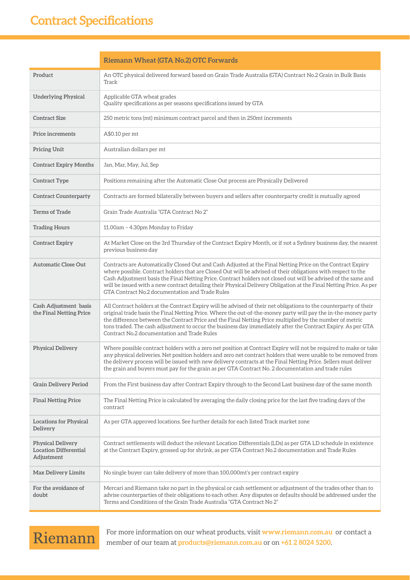|                                                                        | <b>Riemann Wheat (GTA No.2) OTC Forwards</b>                                                                                                                                                                                                                                                                                                                                                                                                                                                                           |  |
|------------------------------------------------------------------------|------------------------------------------------------------------------------------------------------------------------------------------------------------------------------------------------------------------------------------------------------------------------------------------------------------------------------------------------------------------------------------------------------------------------------------------------------------------------------------------------------------------------|--|
| Product                                                                | An OTC physical delivered forward based on Grain Trade Australia (GTA) Contract No.2 Grain in Bulk Basis<br>Track                                                                                                                                                                                                                                                                                                                                                                                                      |  |
| Underlying Physical                                                    | Applicable GTA wheat grades<br>Quality specifications as per seasons specifications issued by GTA                                                                                                                                                                                                                                                                                                                                                                                                                      |  |
| <b>Contract Size</b>                                                   | 250 metric tons (mt) minimum contract parcel and then in 250mt increments                                                                                                                                                                                                                                                                                                                                                                                                                                              |  |
| <b>Price increments</b>                                                | A\$0.10 per mt                                                                                                                                                                                                                                                                                                                                                                                                                                                                                                         |  |
| <b>Pricing Unit</b>                                                    | Australian dollars per mt                                                                                                                                                                                                                                                                                                                                                                                                                                                                                              |  |
| <b>Contract Expiry Months</b>                                          | Jan, Mar, May, Jul, Sep                                                                                                                                                                                                                                                                                                                                                                                                                                                                                                |  |
| <b>Contract Type</b>                                                   | Positions remaining after the Automatic Close Out process are Physically Delivered                                                                                                                                                                                                                                                                                                                                                                                                                                     |  |
| <b>Contract Counterparty</b>                                           | Contracts are formed bilaterally between buyers and sellers after counterparty credit is mutually agreed                                                                                                                                                                                                                                                                                                                                                                                                               |  |
| <b>Terms of Trade</b>                                                  | Grain Trade Australia "GTA Contract No 2"                                                                                                                                                                                                                                                                                                                                                                                                                                                                              |  |
| <b>Trading Hours</b>                                                   | 11.00am - 4.30pm Monday to Friday                                                                                                                                                                                                                                                                                                                                                                                                                                                                                      |  |
| <b>Contract Expiry</b>                                                 | At Market Close on the 3rd Thursday of the Contract Expiry Month, or if not a Sydney business day, the nearest<br>previous business day                                                                                                                                                                                                                                                                                                                                                                                |  |
| <b>Automatic Close Out</b>                                             | Contracts are Automatically Closed Out and Cash Adjusted at the Final Netting Price on the Contract Expiry<br>where possible. Contract holders that are Closed Out will be advised of their obligations with respect to the<br>Cash Adjustment basis the Final Netting Price. Contract holders not closed out will be advised of the same and<br>will be issued with a new contract detailing their Physical Delivery Obligation at the Final Netting Price. As per<br>GTA Contract No.2 documentation and Trade Rules |  |
| Cash Adjustment basis<br>the Final Netting Price                       | All Contract holders at the Contract Expiry will be advised of their net obligations to the counterparty of their<br>original trade basis the Final Netting Price. Where the out-of-the-money party will pay the in-the-money party<br>the difference between the Contract Price and the Final Netting Price multiplied by the number of metric<br>tons traded. The cash adjustment to occur the business day immediately after the Contract Expiry. As per GTA<br>Contract No.2 documentation and Trade Rules         |  |
| <b>Physical Delivery</b>                                               | Where possible contract holders with a zero net position at Contract Expiry will not be required to make or take<br>any physical deliveries. Net position holders and zero net contract holders that were unable to be removed from<br>the delivery process will be issued with new delivery contracts at the Final Netting Price. Sellers must deliver<br>the grain and buyers must pay for the grain as per GTA Contract No. 2 documentation and trade rules                                                         |  |
| <b>Grain Delivery Period</b>                                           | From the First business day after Contract Expiry through to the Second Last business day of the same month                                                                                                                                                                                                                                                                                                                                                                                                            |  |
| <b>Final Netting Price</b>                                             | The Final Netting Price is calculated by averaging the daily closing price for the last five trading days of the<br>contract                                                                                                                                                                                                                                                                                                                                                                                           |  |
| <b>Locations for Physical</b><br>Delivery                              | As per GTA approved locations. See further details for each listed Track market zone                                                                                                                                                                                                                                                                                                                                                                                                                                   |  |
| <b>Physical Delivery</b><br><b>Location Differential</b><br>Adjustment | Contract settlements will deduct the relevant Location Differentials (LDs) as per GTA LD schedule in existence<br>at the Contract Expiry, grossed up for shrink, as per GTA Contract No.2 documentation and Trade Rules                                                                                                                                                                                                                                                                                                |  |
| <b>Max Delivery Limits</b>                                             | No single buyer can take delivery of more than 100,000mt's per contract expiry                                                                                                                                                                                                                                                                                                                                                                                                                                         |  |
| For the avoidance of<br>doubt                                          | Mercari and Riemann take no part in the physical or cash settlement or adjustment of the trades other than to<br>advise counterparties of their obligations to each other. Any disputes or defaults should be addressed under the<br>Terms and Conditions of the Grain Trade Australia "GTA Contract No 2"                                                                                                                                                                                                             |  |

### Riemann

For more information on our wheat products, visit **www.riemann.com.au** or contact a member of our team at **products@riemann.com.au** or on **+61 2 8024 5200**.